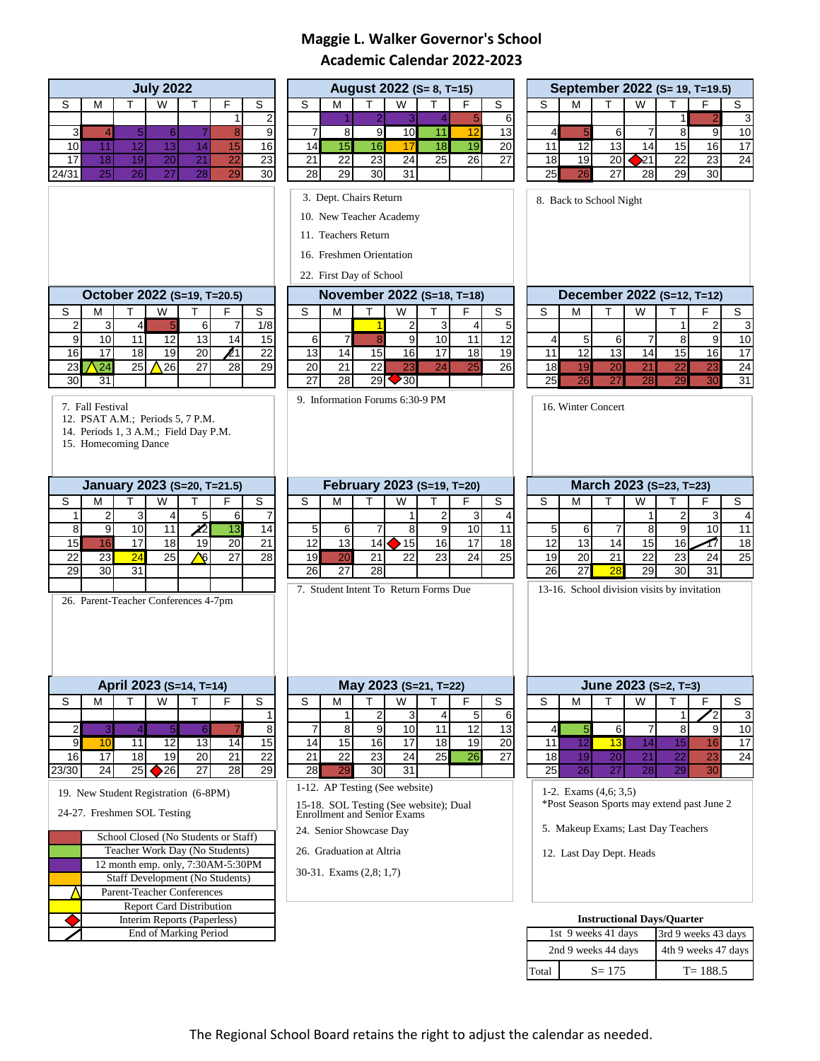# **Maggie L. Walker Governor's School Academic Calendar 2022-2023**

| <b>July 2022</b>                                                                           | August 2022 (S= 8, T=15)                                                           | September 2022 (S= 19, T=19.5)                                          |
|--------------------------------------------------------------------------------------------|------------------------------------------------------------------------------------|-------------------------------------------------------------------------|
| S<br>W<br>F<br>S<br>М<br>т<br>т                                                            | W<br>T.<br>F.<br>S<br>м<br>т<br>S                                                  | F.<br>S<br>M<br>W<br>т<br>т<br>S                                        |
| $\overline{2}$<br>1                                                                        | 5<br>$\overline{2}$<br>6<br>3<br>$\overline{\mathcal{A}}$                          | 3<br>1                                                                  |
| $\mathbf{3}$<br>$\overline{5}$<br> 8 <br>$\boldsymbol{9}$<br>$\,$ 6 $\,$<br>$\overline{4}$ | 12<br>8 <sup>1</sup><br>9<br>10<br>11<br>13<br>$\overline{7}$                      | 9<br>$\overline{4}$<br>5 <sub>l</sub><br>6<br>$\overline{7}$<br>8<br>10 |
| 12<br>13<br>10<br>14<br>16<br>11<br>15                                                     | 15<br>14<br>16<br>18<br>19<br>20<br>17                                             | 13<br>16<br>11<br>12<br>14<br>15<br>17                                  |
| 23<br>20<br>18<br>19<br>21<br>22<br>17                                                     | $\overline{22}$<br>27<br>21<br>23<br>24<br>25<br>26                                | $\sqrt{21}$<br>22<br>23<br>18<br>19<br>20<br>24                         |
| 25<br>30<br>24/31<br>26<br>27<br>28<br>29                                                  | 28<br>29<br>30<br>31                                                               | 25<br>29<br>30<br>26<br>27<br>28                                        |
|                                                                                            | 3. Dept. Chairs Return                                                             | 8. Back to School Night                                                 |
|                                                                                            |                                                                                    |                                                                         |
|                                                                                            | 10. New Teacher Academy                                                            |                                                                         |
|                                                                                            | 11. Teachers Return                                                                |                                                                         |
|                                                                                            | 16. Freshmen Orientation                                                           |                                                                         |
|                                                                                            |                                                                                    |                                                                         |
|                                                                                            | 22. First Day of School                                                            |                                                                         |
| October 2022 (S=19, T=20.5)                                                                | November 2022 (S=18, T=18)                                                         | December 2022 (S=12, T=12)                                              |
| F<br>W<br>S<br>т<br>т<br>S<br>м                                                            | W<br>F<br>S<br>S<br>м<br>т<br>т                                                    | F<br>S<br>W<br>М<br>т<br>т<br>S                                         |
| $\overline{a}$<br>3<br>5<br>1/8<br>$\overline{4}$<br>6<br>$\overline{7}$                   | 5<br>2<br>$\vert$ 3<br>$\overline{4}$<br>$\mathbf{1}$                              | $\overline{\mathbf{c}}$<br>3<br>1                                       |
| 11<br>9<br>10<br>$\overline{12}$<br>13<br>14<br>15                                         | $\overline{\mathbf{8}}$<br>$\overline{7}$<br>9<br>10 <sub>1</sub><br>12<br>6<br>11 | 9<br>5<br>6<br>7<br>8<br>10<br>$\vert$                                  |
| $\chi_1$<br>17<br>$\overline{22}$<br>16<br>18<br>19<br>20                                  | 19<br>13<br>14<br>15<br>16<br>17<br>18                                             | 12<br>13<br>16<br>11<br>14<br>15<br>17                                  |
| 24<br>26<br>28<br>29<br>23<br>25<br>27                                                     | 23<br>24<br>25<br>20<br>21<br>22<br>26                                             | 19<br>20<br>21<br>$\overline{22}$<br>23<br>18<br>24                     |
| 30<br>31                                                                                   | $\overline{27}$<br>28<br>29<br>$\geq$ 30                                           | 27<br>29<br>$\overline{30}$<br>25<br>26<br>28<br>31                     |
|                                                                                            | 9. Information Forums 6:30-9 PM                                                    |                                                                         |
| 7. Fall Festival                                                                           |                                                                                    | 16. Winter Concert                                                      |
| 12. PSAT A.M.; Periods 5, 7 P.M.<br>14. Periods 1, 3 A.M.; Field Day P.M.                  |                                                                                    |                                                                         |
| 15. Homecoming Dance                                                                       |                                                                                    |                                                                         |
|                                                                                            |                                                                                    |                                                                         |
|                                                                                            |                                                                                    |                                                                         |
| January 2023 (S=20, T=21.5)                                                                | February 2023 (S=19, T=20)                                                         | March 2023 (S=23, T=23)                                                 |
| W<br>F<br>$\overline{s}$<br>S<br>Т<br>М<br>т                                               | T<br>F<br>S<br>S<br>T<br>W<br>м                                                    | T<br>F.<br>S<br>W<br>M<br>т<br>S                                        |
| $\overline{2}$<br>3<br>5<br>1<br>$6 \mid$<br>4<br>7                                        | $\overline{2}$<br>3<br>1<br>4                                                      | 3<br>2<br>4<br>1                                                        |
| $\overline{9}$<br>$\infty$<br>$\overline{10}$<br>$\boldsymbol{\ell}$<br>11<br>13<br>14     | 9<br>$\overline{10}$<br>11<br>5<br>$6 \mid$<br>8<br>7                              | 10<br>9<br>8<br>11<br>$\sqrt{5}$<br>6<br>7                              |
| 15<br>16<br>17<br>21<br>18<br>19<br>20                                                     | 18<br>12<br>13<br>14<br>$\blacktriangleright$ 15<br>16<br>17                       | 15<br>13<br>14<br>16<br>18<br>12<br>17                                  |
| 28<br>22<br>$\overline{24}$<br>25<br>े<br>रू<br>27<br>23                                   | 23<br>$\overline{25}$<br>19<br>20<br>21<br>22<br>24                                | 19<br>20<br>21<br>$\overline{22}$<br>23<br>24<br>25                     |
| 29<br>30<br>31                                                                             | 26<br>$\overline{27}$<br>28                                                        | $\overline{31}$<br>26<br>27<br>29<br>30<br>28                           |
|                                                                                            | 7. Student Intent To Return Forms Due                                              | 13-16. School division visits by invitation                             |
| 26. Parent-Teacher Conferences 4-7pm                                                       |                                                                                    |                                                                         |
|                                                                                            |                                                                                    |                                                                         |
|                                                                                            |                                                                                    |                                                                         |
|                                                                                            |                                                                                    |                                                                         |
|                                                                                            |                                                                                    |                                                                         |
|                                                                                            |                                                                                    |                                                                         |
| April 2023 (S=14, T=14)                                                                    | May 2023 (S=21, T=22)                                                              | June 2023 (S=2, T=3)                                                    |
| S<br>F<br>S<br>W<br>м<br>т<br>т                                                            | F<br>S<br>S<br>W<br>М<br>Т                                                         | S<br>W<br>т<br>F<br>S<br>M<br>т                                         |
| $\mathbf{1}$                                                                               | 5<br>2<br>3<br>6<br>$\vert 4 \vert$<br>1                                           | $\mathbf{r}_{2}$<br>3<br>1                                              |
| $\overline{\mathbf{c}}$<br>$\overline{5}$<br>8<br>3<br>$\overline{4}$<br>6                 | 13<br>8<br>9<br>10<br>11<br>12<br>7                                                | 6<br>9<br>7<br>8<br>5<br>10<br>$\overline{4}$                           |
| $\boldsymbol{9}$<br>10<br>11<br>12<br>13<br>14<br>15                                       | 15<br>17<br>19<br>20<br>14<br>16<br>18                                             | $\overline{12}$<br>13<br>14<br>11<br>15<br>16<br>17                     |
| $\overline{22}$<br>16<br>18<br>20<br>21<br>17<br>19                                        | 21<br>22<br>23<br>24<br>25<br>27<br>26                                             | 20<br>21<br>22<br>23<br>18<br>19<br>24                                  |
| 27<br>$\overline{29}$<br>24<br>25<br>$\bigcirc$ 26<br>28<br>23/30                          | 30<br>28<br>29<br>31                                                               | 25<br>26<br>27<br>28<br>29<br>30                                        |
|                                                                                            | 1-12. AP Testing (See website)                                                     |                                                                         |
| 19. New Student Registration (6-8PM)                                                       |                                                                                    | 1-2. Exams $(4,6; 3,5)$                                                 |
| 24-27. Freshmen SOL Testing                                                                | 15-18. SOL Testing (See website); Dual<br>Enrollment and Senior Exams              | *Post Season Sports may extend past June 2                              |
|                                                                                            |                                                                                    | 5. Makeup Exams; Last Day Teachers                                      |
| School Closed (No Students or Staff)                                                       | 24. Senior Showcase Day                                                            |                                                                         |
| Teacher Work Day (No Students)                                                             | 26. Graduation at Altria                                                           | 12. Last Day Dept. Heads                                                |
| 12 month emp. only, 7:30AM-5:30PM                                                          | 30-31. Exams (2,8; 1,7)                                                            |                                                                         |
| Staff Development (No Students)                                                            |                                                                                    |                                                                         |
| Parent-Teacher Conferences                                                                 |                                                                                    |                                                                         |
| <b>Report Card Distribution</b>                                                            |                                                                                    |                                                                         |
| Interim Reports (Paperless)                                                                |                                                                                    | <b>Instructional Days/Quarter</b>                                       |
| End of Marking Period                                                                      |                                                                                    | 1st 9 weeks 41 days<br>3rd 9 weeks 43 days                              |
|                                                                                            |                                                                                    | 4th 9 weeks 47 days<br>2nd 9 weeks 44 days                              |
|                                                                                            |                                                                                    | $S = 175$<br>$T = 188.5$<br>Total                                       |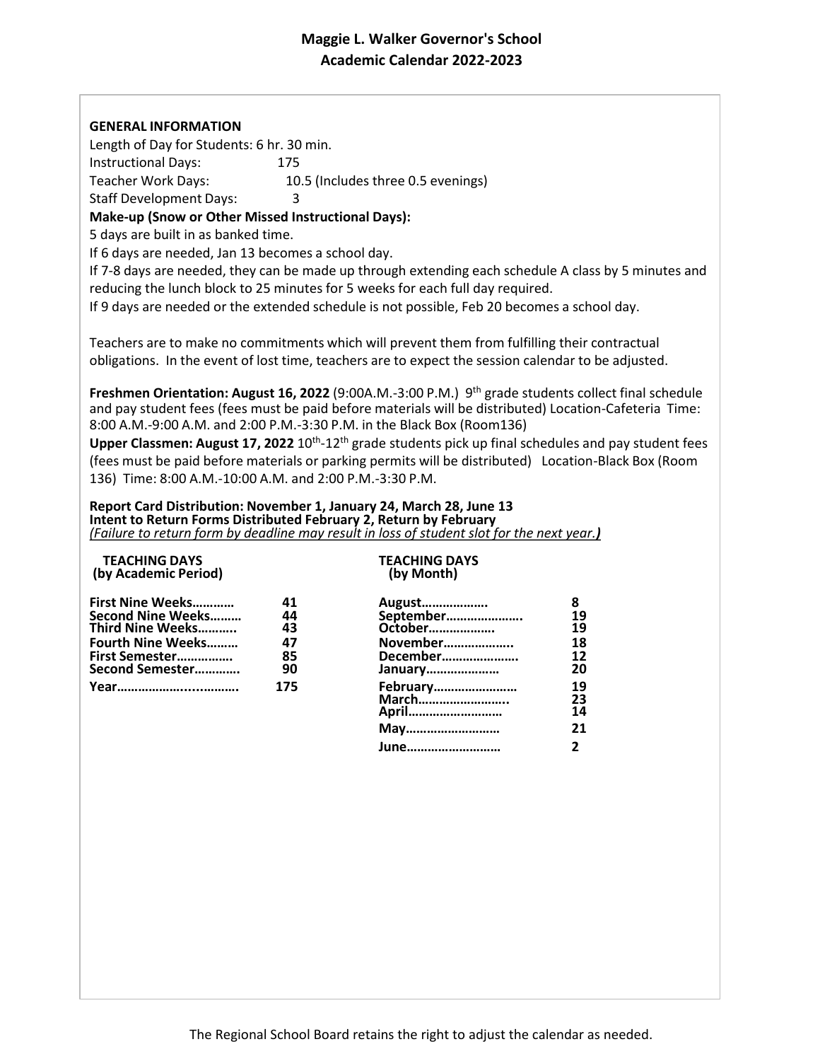# **Maggie L. Walker Governor's School Academic Calendar 2022-2023**

## **GENERAL INFORMATION**

Length of Day for Students: 6 hr. 30 min. Instructional Days: 175 Teacher Work Days: 10.5 (Includes three 0.5 evenings) Staff Development Days: 3

**Make-up (Snow or Other Missed Instructional Days):** 

5 days are built in as banked time.

If 6 days are needed, Jan 13 becomes a school day.

If 7-8 days are needed, they can be made up through extending each schedule A class by 5 minutes and reducing the lunch block to 25 minutes for 5 weeks for each full day required.

If 9 days are needed or the extended schedule is not possible, Feb 20 becomes a school day.

Teachers are to make no commitments which will prevent them from fulfilling their contractual obligations. In the event of lost time, teachers are to expect the session calendar to be adjusted.

**Freshmen Orientation: August 16, 2022** (9:00A.M.-3:00 P.M.) 9 th grade students collect final schedule and pay student fees (fees must be paid before materials will be distributed) Location-Cafeteria Time: 8:00 A.M.-9:00 A.M. and 2:00 P.M.-3:30 P.M. in the Black Box (Room136)

Upper Classmen: August 17, 2022 10<sup>th</sup>-12<sup>th</sup> grade students pick up final schedules and pay student fees (fees must be paid before materials or parking permits will be distributed) Location-Black Box (Room 136) Time: 8:00 A.M.-10:00 A.M. and 2:00 P.M.-3:30 P.M.

### **Report Card Distribution: November 1, January 24, March 28, June 13 Intent to Return Forms Distributed February 2, Return by February**  *(Failure to return form by deadline may result in loss of student slot for the next year.)*

## **TEACHING DAYS TEACHING DAYS (by Academic Period)**

| First Nine Weeks         | 41              |
|--------------------------|-----------------|
| <b>Second Nine Weeks</b> | 44              |
| Third Nine Weeks         | 43              |
| <b>Fourth Nine Weeks</b> | 4.              |
| First Semester           | 8!              |
| Second Semester          | 91              |
| Year                     | 17 <sup>1</sup> |

| First Nine Weeks  | 41  | August    |    |
|-------------------|-----|-----------|----|
| Second Nine Weeks | 44  | September | 19 |
| Third Nine Weeks  | 43  | October   | 19 |
| Fourth Nine Weeks | 47  | November  | 18 |
| First Semester    | 85  | December  | 12 |
| Second Semester   | 90  | January   | 20 |
|                   | 175 | February  | 19 |
|                   |     | March     | 23 |
|                   |     | April     | 14 |
|                   |     | May       | 21 |
|                   |     | June      |    |
|                   |     |           |    |

The Regional School Board retains the right to adjust the calendar as needed.